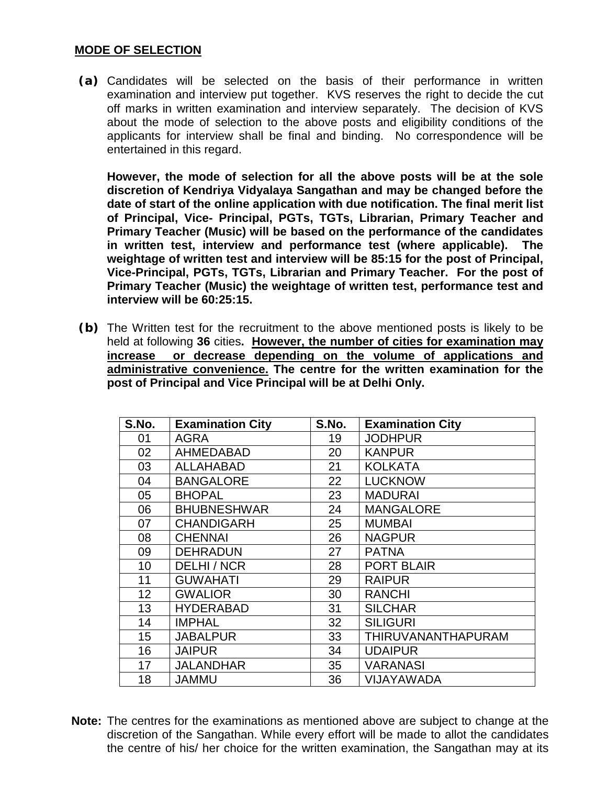#### **MODE OF SELECTION**

**(a)** Candidates will be selected on the basis of their performance in written examination and interview put together. KVS reserves the right to decide the cut off marks in written examination and interview separately. The decision of KVS about the mode of selection to the above posts and eligibility conditions of the applicants for interview shall be final and binding. No correspondence will be entertained in this regard.

**However, the mode of selection for all the above posts will be at the sole discretion of Kendriya Vidyalaya Sangathan and may be changed before the date of start of the online application with due notification. The final merit list of Principal, Vice- Principal, PGTs, TGTs, Librarian, Primary Teacher and Primary Teacher (Music) will be based on the performance of the candidates in written test, interview and performance test (where applicable). The weightage of written test and interview will be 85:15 for the post of Principal, Vice-Principal, PGTs, TGTs, Librarian and Primary Teacher. For the post of Primary Teacher (Music) the weightage of written test, performance test and interview will be 60:25:15.**

**(b)** The Written test for the recruitment to the above mentioned posts is likely to be held at following **36** cities**. However, the number of cities for examination may increase or decrease depending on the volume of applications and administrative convenience. The centre for the written examination for the post of Principal and Vice Principal will be at Delhi Only.**

| S.No. | <b>Examination City</b> | S.No. | <b>Examination City</b> |
|-------|-------------------------|-------|-------------------------|
| 01    | <b>AGRA</b>             | 19    | <b>JODHPUR</b>          |
| 02    | <b>AHMEDABAD</b>        | 20    | <b>KANPUR</b>           |
| 03    | <b>ALLAHABAD</b>        | 21    | <b>KOLKATA</b>          |
| 04    | <b>BANGALORE</b>        | 22    | <b>LUCKNOW</b>          |
| 05    | <b>BHOPAL</b>           | 23    | <b>MADURAI</b>          |
| 06    | <b>BHUBNESHWAR</b>      | 24    | <b>MANGALORE</b>        |
| 07    | <b>CHANDIGARH</b>       | 25    | <b>MUMBAI</b>           |
| 08    | <b>CHENNAI</b>          | 26    | <b>NAGPUR</b>           |
| 09    | <b>DEHRADUN</b>         | 27    | <b>PATNA</b>            |
| 10    | DELHI / NCR             | 28    | <b>PORT BLAIR</b>       |
| 11    | <b>GUWAHATI</b>         | 29    | <b>RAIPUR</b>           |
| 12    | <b>GWALIOR</b>          | 30    | <b>RANCHI</b>           |
| 13    | <b>HYDERABAD</b>        | 31    | <b>SILCHAR</b>          |
| 14    | <b>IMPHAL</b>           | 32    | <b>SILIGURI</b>         |
| 15    | <b>JABALPUR</b>         | 33    | THIRUVANANTHAPURAM      |
| 16    | <b>JAIPUR</b>           | 34    | <b>UDAIPUR</b>          |
| 17    | <b>JALANDHAR</b>        | 35    | <b>VARANASI</b>         |
| 18    | <b>JAMMU</b>            | 36    | VIJAYAWADA              |

**Note:** The centres for the examinations as mentioned above are subject to change at the discretion of the Sangathan. While every effort will be made to allot the candidates the centre of his/ her choice for the written examination, the Sangathan may at its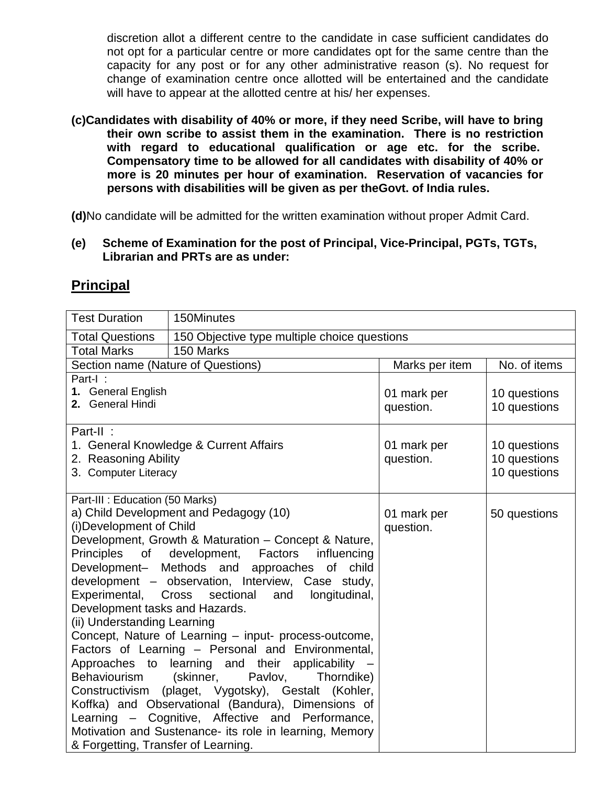discretion allot a different centre to the candidate in case sufficient candidates do not opt for a particular centre or more candidates opt for the same centre than the capacity for any post or for any other administrative reason (s). No request for change of examination centre once allotted will be entertained and the candidate will have to appear at the allotted centre at his/ her expenses.

**(c)Candidates with disability of 40% or more, if they need Scribe, will have to bring their own scribe to assist them in the examination. There is no restriction with regard to educational qualification or age etc. for the scribe. Compensatory time to be allowed for all candidates with disability of 40% or more is 20 minutes per hour of examination. Reservation of vacancies for persons with disabilities will be given as per theGovt. of India rules.** 

**(d)**No candidate will be admitted for the written examination without proper Admit Card.

**(e) Scheme of Examination for the post of Principal, Vice-Principal, PGTs, TGTs, Librarian and PRTs are as under:**

| <b>Test Duration</b><br>150Minutes<br><b>Total Questions</b><br>150 Objective type multiple choice questions<br>150 Marks<br><b>Total Marks</b><br>No. of items<br>Section name (Nature of Questions)<br>Marks per item<br>Part-I:<br>1. General English<br>01 mark per<br>10 questions<br>2. General Hindi<br>question.<br>10 questions<br>Part-II: |
|------------------------------------------------------------------------------------------------------------------------------------------------------------------------------------------------------------------------------------------------------------------------------------------------------------------------------------------------------|
|                                                                                                                                                                                                                                                                                                                                                      |
|                                                                                                                                                                                                                                                                                                                                                      |
|                                                                                                                                                                                                                                                                                                                                                      |
|                                                                                                                                                                                                                                                                                                                                                      |
|                                                                                                                                                                                                                                                                                                                                                      |
|                                                                                                                                                                                                                                                                                                                                                      |
|                                                                                                                                                                                                                                                                                                                                                      |
|                                                                                                                                                                                                                                                                                                                                                      |
| 1. General Knowledge & Current Affairs<br>01 mark per<br>10 questions                                                                                                                                                                                                                                                                                |
| 10 questions<br>2. Reasoning Ability<br>question.                                                                                                                                                                                                                                                                                                    |
| 10 questions<br>3. Computer Literacy                                                                                                                                                                                                                                                                                                                 |
|                                                                                                                                                                                                                                                                                                                                                      |
| Part-III : Education (50 Marks)<br>a) Child Development and Pedagogy (10)                                                                                                                                                                                                                                                                            |
| 01 mark per<br>50 questions<br>(i) Development of Child<br>question.                                                                                                                                                                                                                                                                                 |
| Development, Growth & Maturation - Concept & Nature,                                                                                                                                                                                                                                                                                                 |
| <b>Principles</b><br>development, Factors<br>of<br>influencing                                                                                                                                                                                                                                                                                       |
| Development- Methods and approaches of<br>child                                                                                                                                                                                                                                                                                                      |
| development - observation, Interview, Case study,                                                                                                                                                                                                                                                                                                    |
| Experimental,<br>sectional<br>Cross<br>longitudinal,<br>and                                                                                                                                                                                                                                                                                          |
| Development tasks and Hazards.                                                                                                                                                                                                                                                                                                                       |
| (ii) Understanding Learning                                                                                                                                                                                                                                                                                                                          |
| Concept, Nature of Learning - input- process-outcome,                                                                                                                                                                                                                                                                                                |
| Factors of Learning - Personal and Environmental,                                                                                                                                                                                                                                                                                                    |
| Approaches to learning and their applicability                                                                                                                                                                                                                                                                                                       |
| Behaviourism<br>(skinner,<br>Pavlov,<br>Thorndike)                                                                                                                                                                                                                                                                                                   |
| Constructivism (plaget, Vygotsky), Gestalt (Kohler,<br>Koffka) and Observational (Bandura), Dimensions of                                                                                                                                                                                                                                            |
| Learning - Cognitive, Affective and Performance,                                                                                                                                                                                                                                                                                                     |
| Motivation and Sustenance- its role in learning, Memory                                                                                                                                                                                                                                                                                              |
| & Forgetting, Transfer of Learning.                                                                                                                                                                                                                                                                                                                  |

# **Principal**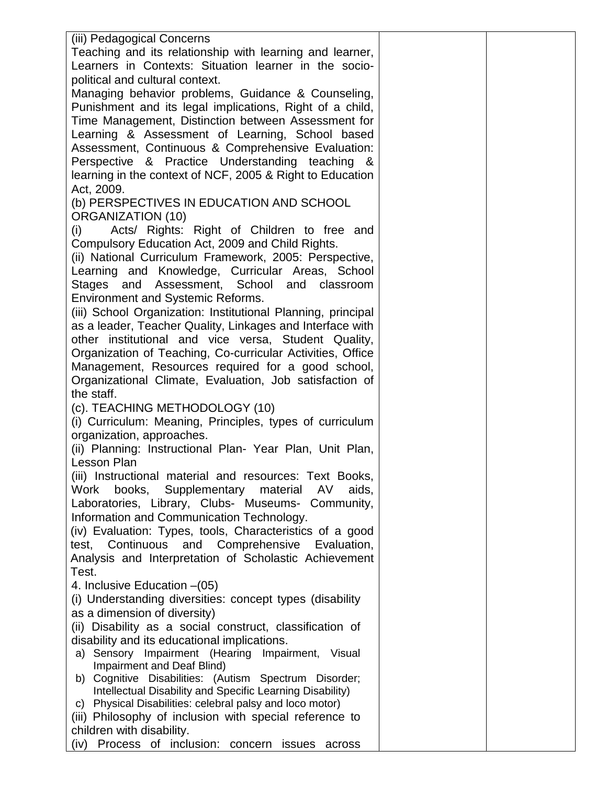| (iii) Pedagogical Concerns                                                                                 |  |
|------------------------------------------------------------------------------------------------------------|--|
| Teaching and its relationship with learning and learner,                                                   |  |
| Learners in Contexts: Situation learner in the socio-                                                      |  |
| political and cultural context.                                                                            |  |
| Managing behavior problems, Guidance & Counseling,                                                         |  |
| Punishment and its legal implications, Right of a child,                                                   |  |
| Time Management, Distinction between Assessment for                                                        |  |
| Learning & Assessment of Learning, School based                                                            |  |
| Assessment, Continuous & Comprehensive Evaluation:                                                         |  |
| Perspective & Practice Understanding teaching &                                                            |  |
| learning in the context of NCF, 2005 & Right to Education                                                  |  |
| Act, 2009.                                                                                                 |  |
| (b) PERSPECTIVES IN EDUCATION AND SCHOOL                                                                   |  |
| <b>ORGANIZATION (10)</b>                                                                                   |  |
| (i)<br>Acts/ Rights: Right of Children to free and                                                         |  |
| Compulsory Education Act, 2009 and Child Rights.                                                           |  |
| (ii) National Curriculum Framework, 2005: Perspective,                                                     |  |
| Learning and Knowledge, Curricular Areas, School                                                           |  |
| Stages and Assessment, School and classroom                                                                |  |
| <b>Environment and Systemic Reforms.</b>                                                                   |  |
| (iii) School Organization: Institutional Planning, principal                                               |  |
| as a leader, Teacher Quality, Linkages and Interface with                                                  |  |
| other institutional and vice versa, Student Quality,                                                       |  |
| Organization of Teaching, Co-curricular Activities, Office                                                 |  |
| Management, Resources required for a good school,                                                          |  |
| Organizational Climate, Evaluation, Job satisfaction of                                                    |  |
| the staff.                                                                                                 |  |
| (c). TEACHING METHODOLOGY (10)                                                                             |  |
| (i) Curriculum: Meaning, Principles, types of curriculum                                                   |  |
| organization, approaches.                                                                                  |  |
| (ii) Planning: Instructional Plan- Year Plan, Unit Plan,                                                   |  |
| Lesson Plan                                                                                                |  |
| (iii) Instructional material and resources: Text Books,                                                    |  |
| books, Supplementary material<br>Work<br>AV<br>aids,                                                       |  |
| Laboratories, Library, Clubs- Museums- Community,                                                          |  |
| Information and Communication Technology.                                                                  |  |
| (iv) Evaluation: Types, tools, Characteristics of a good                                                   |  |
| test, Continuous and Comprehensive<br>Evaluation,<br>Analysis and Interpretation of Scholastic Achievement |  |
| Test.                                                                                                      |  |
| 4. Inclusive Education - (05)                                                                              |  |
| (i) Understanding diversities: concept types (disability                                                   |  |
| as a dimension of diversity)                                                                               |  |
| (ii) Disability as a social construct, classification of                                                   |  |
| disability and its educational implications.                                                               |  |
| a) Sensory Impairment (Hearing Impairment, Visual                                                          |  |
| Impairment and Deaf Blind)                                                                                 |  |
| Cognitive Disabilities: (Autism Spectrum Disorder;<br>b)                                                   |  |
| Intellectual Disability and Specific Learning Disability)                                                  |  |
| Physical Disabilities: celebral palsy and loco motor)<br>C)                                                |  |
| (iii) Philosophy of inclusion with special reference to<br>children with disability.                       |  |
| Process of inclusion: concern issues<br>(iv)<br>across                                                     |  |
|                                                                                                            |  |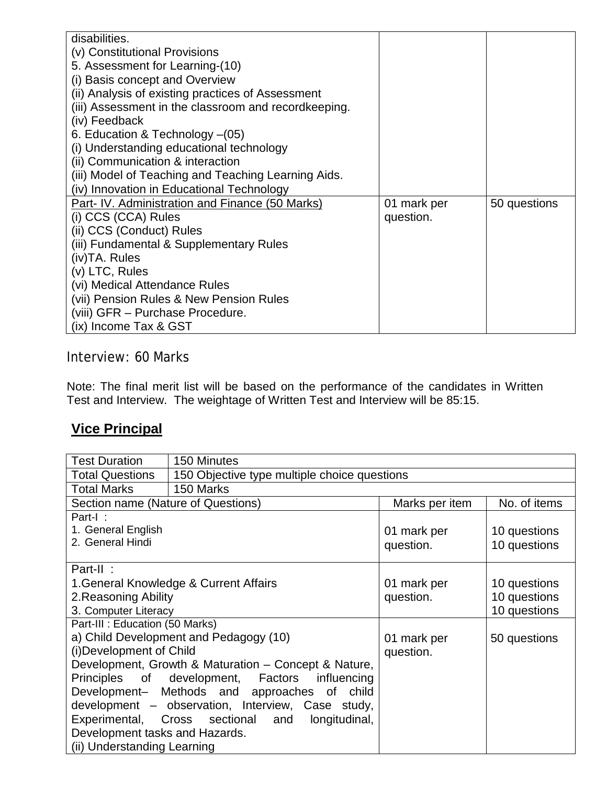| disabilities.<br>(v) Constitutional Provisions<br>5. Assessment for Learning-(10)<br>(i) Basis concept and Overview<br>(ii) Analysis of existing practices of Assessment<br>(iii) Assessment in the classroom and recordkeeping.<br>(iv) Feedback<br>6. Education & Technology - (05)<br>(i) Understanding educational technology<br>(ii) Communication & interaction<br>(iii) Model of Teaching and Teaching Learning Aids. |                          |              |
|------------------------------------------------------------------------------------------------------------------------------------------------------------------------------------------------------------------------------------------------------------------------------------------------------------------------------------------------------------------------------------------------------------------------------|--------------------------|--------------|
| (iv) Innovation in Educational Technology                                                                                                                                                                                                                                                                                                                                                                                    |                          |              |
| Part- IV. Administration and Finance (50 Marks)<br>(i) CCS (CCA) Rules<br>(ii) CCS (Conduct) Rules<br>(iii) Fundamental & Supplementary Rules<br>(iv)TA. Rules<br>(v) LTC, Rules<br>(vi) Medical Attendance Rules<br>(vii) Pension Rules & New Pension Rules<br>(viii) GFR - Purchase Procedure.<br>(ix) Income Tax & GST                                                                                                    | 01 mark per<br>question. | 50 questions |

Interview: 60 Marks

Note: The final merit list will be based on the performance of the candidates in Written Test and Interview. The weightage of Written Test and Interview will be 85:15.

# **Vice Principal**

| <b>Test Duration</b>                               | 150 Minutes                                          |                |              |
|----------------------------------------------------|------------------------------------------------------|----------------|--------------|
| <b>Total Questions</b>                             | 150 Objective type multiple choice questions         |                |              |
| <b>Total Marks</b>                                 | 150 Marks                                            |                |              |
| Section name (Nature of Questions)                 |                                                      | Marks per item | No. of items |
| Part-I:                                            |                                                      |                |              |
| 1. General English                                 |                                                      | 01 mark per    | 10 questions |
| 2. General Hindi                                   |                                                      | question.      | 10 questions |
|                                                    |                                                      |                |              |
| Part-II:                                           |                                                      |                |              |
|                                                    | 1. General Knowledge & Current Affairs               | 01 mark per    | 10 questions |
| 2. Reasoning Ability                               |                                                      | question.      | 10 questions |
| 3. Computer Literacy                               |                                                      |                | 10 questions |
| Part-III : Education (50 Marks)                    |                                                      |                |              |
|                                                    | a) Child Development and Pedagogy (10)               | 01 mark per    | 50 questions |
| (i) Development of Child                           |                                                      | question.      |              |
|                                                    | Development, Growth & Maturation - Concept & Nature, |                |              |
|                                                    | Principles of development, Factors influencing       |                |              |
|                                                    | Development- Methods and approaches of child         |                |              |
|                                                    | development - observation, Interview, Case study,    |                |              |
| Experimental, Cross sectional and<br>longitudinal, |                                                      |                |              |
| Development tasks and Hazards.                     |                                                      |                |              |
| (ii) Understanding Learning                        |                                                      |                |              |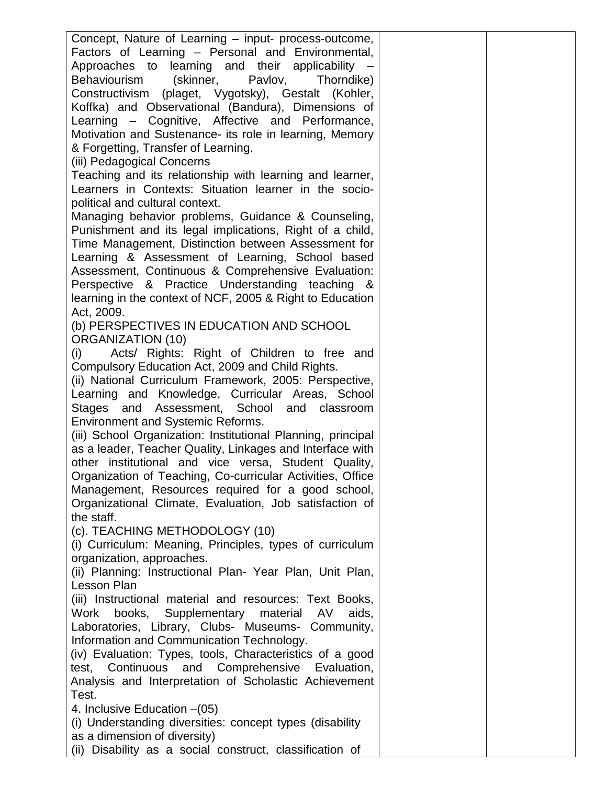| Concept, Nature of Learning – input- process-outcome,        |  |
|--------------------------------------------------------------|--|
| Factors of Learning - Personal and Environmental,            |  |
| Approaches to learning and their applicability –             |  |
| Behaviourism (skinner, Pavlov,<br>Thorndike)                 |  |
| Constructivism (plaget, Vygotsky), Gestalt (Kohler,          |  |
| Koffka) and Observational (Bandura), Dimensions of           |  |
| Learning - Cognitive, Affective and Performance,             |  |
| Motivation and Sustenance- its role in learning, Memory      |  |
| & Forgetting, Transfer of Learning.                          |  |
| (iii) Pedagogical Concerns                                   |  |
| Teaching and its relationship with learning and learner,     |  |
| Learners in Contexts: Situation learner in the socio-        |  |
| political and cultural context.                              |  |
| Managing behavior problems, Guidance & Counseling,           |  |
| Punishment and its legal implications, Right of a child,     |  |
| Time Management, Distinction between Assessment for          |  |
| Learning & Assessment of Learning, School based              |  |
| Assessment, Continuous & Comprehensive Evaluation:           |  |
| Perspective & Practice Understanding teaching &              |  |
| learning in the context of NCF, 2005 & Right to Education    |  |
| Act. 2009.                                                   |  |
| (b) PERSPECTIVES IN EDUCATION AND SCHOOL                     |  |
| <b>ORGANIZATION (10)</b>                                     |  |
| Acts/ Rights: Right of Children to free and<br>(i)           |  |
| Compulsory Education Act, 2009 and Child Rights.             |  |
| (ii) National Curriculum Framework, 2005: Perspective,       |  |
| Learning and Knowledge, Curricular Areas, School             |  |
| Stages and Assessment, School and classroom                  |  |
| <b>Environment and Systemic Reforms.</b>                     |  |
| (iii) School Organization: Institutional Planning, principal |  |
| as a leader, Teacher Quality, Linkages and Interface with    |  |
| other institutional and vice versa, Student Quality,         |  |
| Organization of Teaching, Co-curricular Activities, Office   |  |
| Management, Resources required for a good school,            |  |
| Organizational Climate, Evaluation, Job satisfaction of      |  |
| the staff.                                                   |  |
| (c). TEACHING METHODOLOGY (10)                               |  |
| (i) Curriculum: Meaning, Principles, types of curriculum     |  |
| organization, approaches.                                    |  |
| (ii) Planning: Instructional Plan- Year Plan, Unit Plan,     |  |
| <b>Lesson Plan</b>                                           |  |
| (iii) Instructional material and resources: Text Books,      |  |
| Work books, Supplementary material<br>AV<br>aids,            |  |
| Laboratories, Library, Clubs- Museums- Community,            |  |
| Information and Communication Technology.                    |  |
| (iv) Evaluation: Types, tools, Characteristics of a good     |  |
| Continuous and Comprehensive<br>Evaluation,<br>test,         |  |
| Analysis and Interpretation of Scholastic Achievement        |  |
| Test.                                                        |  |
| 4. Inclusive Education – (05)                                |  |
| (i) Understanding diversities: concept types (disability     |  |
| as a dimension of diversity)                                 |  |
| (ii) Disability as a social construct, classification of     |  |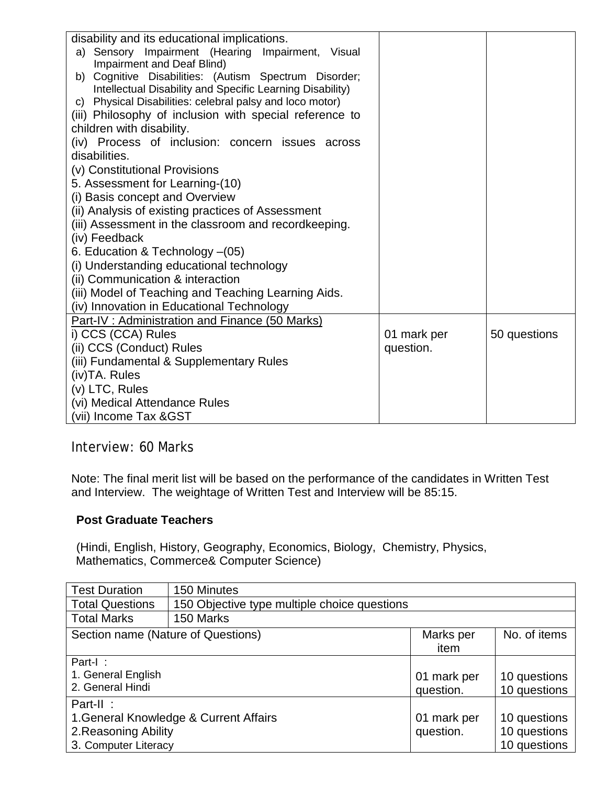| disability and its educational implications.              |             |              |
|-----------------------------------------------------------|-------------|--------------|
| a) Sensory Impairment (Hearing Impairment, Visual         |             |              |
| Impairment and Deaf Blind)                                |             |              |
| Cognitive Disabilities: (Autism Spectrum Disorder;<br>b)  |             |              |
| Intellectual Disability and Specific Learning Disability) |             |              |
| c) Physical Disabilities: celebral palsy and loco motor)  |             |              |
| (iii) Philosophy of inclusion with special reference to   |             |              |
| children with disability.                                 |             |              |
| (iv) Process of inclusion: concern issues across          |             |              |
| disabilities.                                             |             |              |
| (v) Constitutional Provisions                             |             |              |
| 5. Assessment for Learning-(10)                           |             |              |
| (i) Basis concept and Overview                            |             |              |
| (ii) Analysis of existing practices of Assessment         |             |              |
| (iii) Assessment in the classroom and recordkeeping.      |             |              |
| (iv) Feedback                                             |             |              |
| 6. Education & Technology - (05)                          |             |              |
| (i) Understanding educational technology                  |             |              |
| (ii) Communication & interaction                          |             |              |
| (iii) Model of Teaching and Teaching Learning Aids.       |             |              |
| (iv) Innovation in Educational Technology                 |             |              |
| Part-IV: Administration and Finance (50 Marks)            |             |              |
| i) CCS (CCA) Rules                                        | 01 mark per | 50 questions |
| (ii) CCS (Conduct) Rules                                  | question.   |              |
| (iii) Fundamental & Supplementary Rules                   |             |              |
| (iv)TA. Rules                                             |             |              |
| (v) LTC, Rules                                            |             |              |
| (vi) Medical Attendance Rules                             |             |              |
| (vii) Income Tax & GST                                    |             |              |

Interview: 60 Marks

Note: The final merit list will be based on the performance of the candidates in Written Test and Interview. The weightage of Written Test and Interview will be 85:15.

#### **Post Graduate Teachers**

(Hindi, English, History, Geography, Economics, Biology, Chemistry, Physics, Mathematics, Commerce& Computer Science)

| <b>Test Duration</b>                   | 150 Minutes                                  |                   |              |
|----------------------------------------|----------------------------------------------|-------------------|--------------|
| <b>Total Questions</b>                 | 150 Objective type multiple choice questions |                   |              |
| <b>Total Marks</b>                     | 150 Marks                                    |                   |              |
| Section name (Nature of Questions)     |                                              | Marks per<br>item | No. of items |
| Part-I:                                |                                              |                   |              |
| 1. General English                     |                                              | 01 mark per       | 10 questions |
| 2. General Hindi                       |                                              | question.         | 10 questions |
| Part-II:                               |                                              |                   |              |
| 1. General Knowledge & Current Affairs |                                              | 01 mark per       | 10 questions |
| 2. Reasoning Ability                   |                                              | question.         | 10 questions |
| 3. Computer Literacy                   |                                              |                   | 10 questions |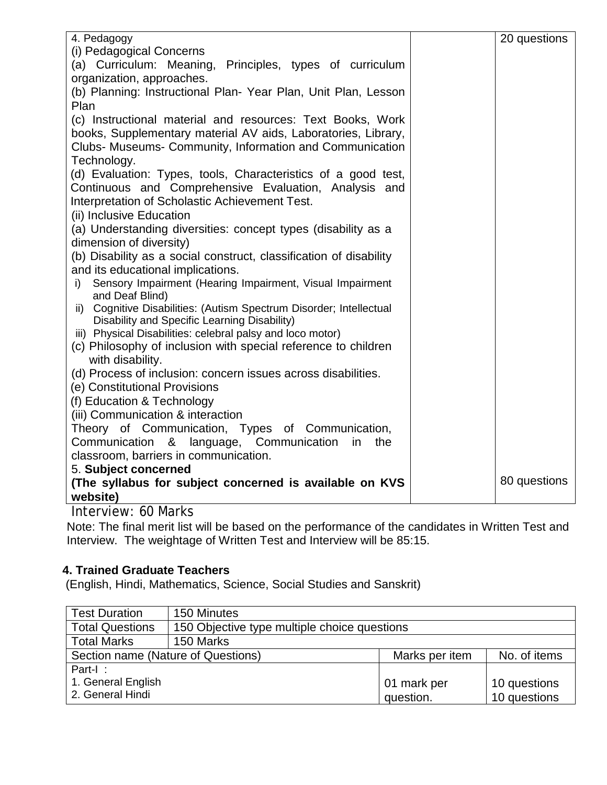| 4. Pedagogy                                                                                                                               | 20 questions |
|-------------------------------------------------------------------------------------------------------------------------------------------|--------------|
| (i) Pedagogical Concerns                                                                                                                  |              |
| (a) Curriculum: Meaning, Principles, types of curriculum                                                                                  |              |
| organization, approaches.                                                                                                                 |              |
| (b) Planning: Instructional Plan-Year Plan, Unit Plan, Lesson                                                                             |              |
| Plan                                                                                                                                      |              |
| (c) Instructional material and resources: Text Books, Work                                                                                |              |
| books, Supplementary material AV aids, Laboratories, Library,                                                                             |              |
| Clubs- Museums- Community, Information and Communication                                                                                  |              |
| Technology.                                                                                                                               |              |
| (d) Evaluation: Types, tools, Characteristics of a good test,                                                                             |              |
| Continuous and Comprehensive Evaluation, Analysis and                                                                                     |              |
| Interpretation of Scholastic Achievement Test.                                                                                            |              |
| (ii) Inclusive Education                                                                                                                  |              |
| (a) Understanding diversities: concept types (disability as a                                                                             |              |
| dimension of diversity)                                                                                                                   |              |
| (b) Disability as a social construct, classification of disability                                                                        |              |
| and its educational implications.                                                                                                         |              |
| i) Sensory Impairment (Hearing Impairment, Visual Impairment                                                                              |              |
| and Deaf Blind)                                                                                                                           |              |
| ii) Cognitive Disabilities: (Autism Spectrum Disorder; Intellectual                                                                       |              |
| Disability and Specific Learning Disability)                                                                                              |              |
| iii) Physical Disabilities: celebral palsy and loco motor)                                                                                |              |
| (c) Philosophy of inclusion with special reference to children                                                                            |              |
| with disability.<br>(d) Process of inclusion: concern issues across disabilities.                                                         |              |
| (e) Constitutional Provisions                                                                                                             |              |
| (f) Education & Technology                                                                                                                |              |
| (iii) Communication & interaction                                                                                                         |              |
| Theory of Communication, Types of Communication,                                                                                          |              |
| Communication<br>&<br>language, Communication<br>in<br>the                                                                                |              |
| classroom, barriers in communication.                                                                                                     |              |
| 5. Subject concerned                                                                                                                      |              |
| (The syllabus for subject concerned is available on KVS                                                                                   | 80 questions |
| website)                                                                                                                                  |              |
| $l$ <sub>n</sub> $l$ <sub>n</sub> $l$ <sub>n</sub> , $l$ <sub>n</sub> $l$ <sub>n</sub> $l$ <sub>n</sub> $l$ <sub>n</sub> $l$ <sub>n</sub> |              |

Interview: 60 Marks

Note: The final merit list will be based on the performance of the candidates in Written Test and Interview. The weightage of Written Test and Interview will be 85:15.

### **4. Trained Graduate Teachers**

(English, Hindi, Mathematics, Science, Social Studies and Sanskrit)

| <b>Test Duration</b>                                 | 150 Minutes                                  |             |              |
|------------------------------------------------------|----------------------------------------------|-------------|--------------|
| <b>Total Questions</b>                               | 150 Objective type multiple choice questions |             |              |
| <b>Total Marks</b>                                   | 150 Marks                                    |             |              |
| Section name (Nature of Questions)<br>Marks per item |                                              |             | No. of items |
| Part-I:                                              |                                              |             |              |
| 1. General English                                   |                                              | 01 mark per | 10 questions |
| 2. General Hindi                                     |                                              | question.   | 10 questions |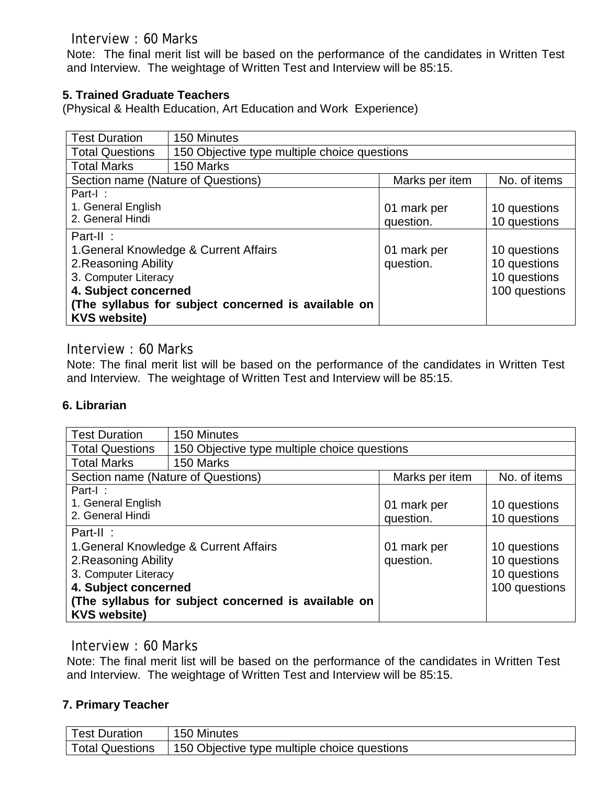Interview : 60 Marks

Note: The final merit list will be based on the performance of the candidates in Written Test and Interview. The weightage of Written Test and Interview will be 85:15.

### **5. Trained Graduate Teachers**

(Physical & Health Education, Art Education and Work Experience)

| <b>Test Duration</b>                   | 150 Minutes                                         |                |               |  |
|----------------------------------------|-----------------------------------------------------|----------------|---------------|--|
| <b>Total Questions</b>                 | 150 Objective type multiple choice questions        |                |               |  |
| <b>Total Marks</b>                     | 150 Marks                                           |                |               |  |
| Section name (Nature of Questions)     |                                                     | Marks per item | No. of items  |  |
| Part-I:                                |                                                     |                |               |  |
| 1. General English                     |                                                     | 01 mark per    | 10 questions  |  |
| 2. General Hindi                       |                                                     | question.      | 10 questions  |  |
| Part-II:                               |                                                     |                |               |  |
| 1. General Knowledge & Current Affairs |                                                     | 01 mark per    | 10 questions  |  |
| 2. Reasoning Ability                   |                                                     | question.      | 10 questions  |  |
| 3. Computer Literacy                   |                                                     |                | 10 questions  |  |
| 4. Subject concerned                   |                                                     |                | 100 questions |  |
|                                        | (The syllabus for subject concerned is available on |                |               |  |
| <b>KVS website)</b>                    |                                                     |                |               |  |

### Interview : 60 Marks

Note: The final merit list will be based on the performance of the candidates in Written Test and Interview. The weightage of Written Test and Interview will be 85:15.

### **6. Librarian**

| <b>Test Duration</b>                                | 150 Minutes                                  |                |               |
|-----------------------------------------------------|----------------------------------------------|----------------|---------------|
| <b>Total Questions</b>                              | 150 Objective type multiple choice questions |                |               |
| <b>Total Marks</b>                                  | 150 Marks                                    |                |               |
| Section name (Nature of Questions)                  |                                              | Marks per item | No. of items  |
| Part-I:                                             |                                              |                |               |
| 1. General English                                  |                                              | 01 mark per    | 10 questions  |
| 2. General Hindi                                    |                                              | question.      | 10 questions  |
| Part-II:                                            |                                              |                |               |
| 1. General Knowledge & Current Affairs              |                                              | 01 mark per    | 10 questions  |
| 2. Reasoning Ability                                |                                              | question.      | 10 questions  |
| 3. Computer Literacy                                |                                              |                | 10 questions  |
| 4. Subject concerned                                |                                              |                | 100 questions |
| (The syllabus for subject concerned is available on |                                              |                |               |
| <b>KVS website)</b>                                 |                                              |                |               |

### Interview : 60 Marks

Note: The final merit list will be based on the performance of the candidates in Written Test and Interview. The weightage of Written Test and Interview will be 85:15.

### **7. Primary Teacher**

| <b>Test Duration</b>   | 150 Minutes                                  |
|------------------------|----------------------------------------------|
| <b>Total Questions</b> | 150 Objective type multiple choice questions |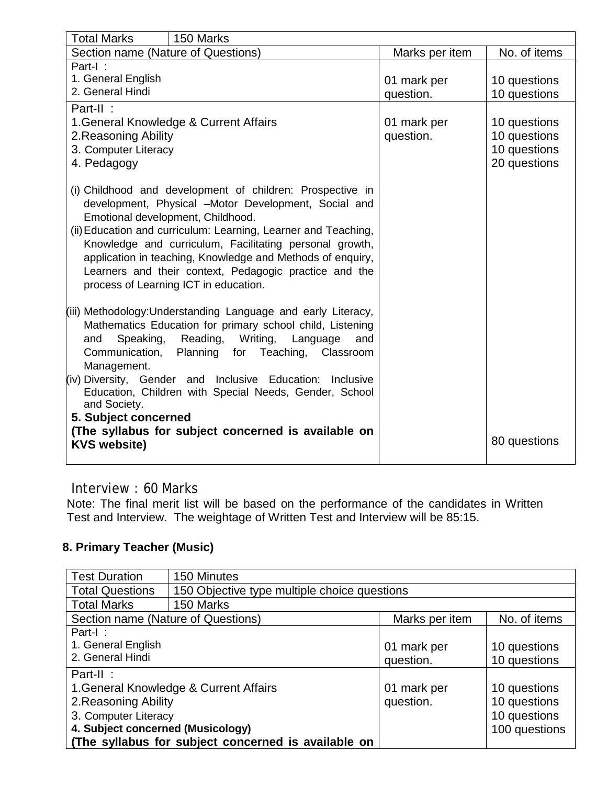| <b>Total Marks</b>                                                         | 150 Marks                                                                                           |                |              |  |
|----------------------------------------------------------------------------|-----------------------------------------------------------------------------------------------------|----------------|--------------|--|
| Section name (Nature of Questions)                                         |                                                                                                     | Marks per item | No. of items |  |
| Part-I:                                                                    |                                                                                                     |                |              |  |
| 1. General English<br>2. General Hindi                                     |                                                                                                     | 01 mark per    | 10 questions |  |
|                                                                            |                                                                                                     | question.      | 10 questions |  |
| Part-II:<br>1. General Knowledge & Current Affairs                         |                                                                                                     | 01 mark per    | 10 questions |  |
| 2. Reasoning Ability                                                       |                                                                                                     | question.      | 10 questions |  |
| 3. Computer Literacy                                                       |                                                                                                     |                | 10 questions |  |
| 4. Pedagogy                                                                |                                                                                                     |                | 20 questions |  |
|                                                                            |                                                                                                     |                |              |  |
|                                                                            | (i) Childhood and development of children: Prospective in                                           |                |              |  |
|                                                                            | development, Physical -Motor Development, Social and                                                |                |              |  |
|                                                                            | Emotional development, Childhood.<br>(ii) Education and curriculum: Learning, Learner and Teaching, |                |              |  |
|                                                                            | Knowledge and curriculum, Facilitating personal growth,                                             |                |              |  |
| application in teaching, Knowledge and Methods of enquiry,                 |                                                                                                     |                |              |  |
| Learners and their context, Pedagogic practice and the                     |                                                                                                     |                |              |  |
| process of Learning ICT in education.                                      |                                                                                                     |                |              |  |
|                                                                            |                                                                                                     |                |              |  |
|                                                                            | (iii) Methodology: Understanding Language and early Literacy,                                       |                |              |  |
| Speaking,<br>and                                                           | Mathematics Education for primary school child, Listening<br>Reading, Writing,<br>Language<br>and   |                |              |  |
| Communication,                                                             | Planning for Teaching,<br>Classroom                                                                 |                |              |  |
| Management.                                                                |                                                                                                     |                |              |  |
| (iv) Diversity, Gender and<br>Inclusive Education:<br>Inclusive            |                                                                                                     |                |              |  |
|                                                                            | Education, Children with Special Needs, Gender, School                                              |                |              |  |
| and Society.                                                               |                                                                                                     |                |              |  |
| 5. Subject concerned                                                       |                                                                                                     |                |              |  |
| (The syllabus for subject concerned is available on<br><b>KVS website)</b> |                                                                                                     |                | 80 questions |  |
|                                                                            |                                                                                                     |                |              |  |

## Interview : 60 Marks

Note: The final merit list will be based on the performance of the candidates in Written Test and Interview. The weightage of Written Test and Interview will be 85:15.

# **8. Primary Teacher (Music)**

| <b>Test Duration</b>                                | 150 Minutes                                  |                |               |
|-----------------------------------------------------|----------------------------------------------|----------------|---------------|
| <b>Total Questions</b>                              | 150 Objective type multiple choice questions |                |               |
| <b>Total Marks</b>                                  | 150 Marks                                    |                |               |
| Section name (Nature of Questions)                  |                                              | Marks per item | No. of items  |
| Part-I:                                             |                                              |                |               |
| 1. General English                                  |                                              | 01 mark per    | 10 questions  |
| 2. General Hindi                                    |                                              | question.      | 10 questions  |
| Part-II:                                            |                                              |                |               |
| 1. General Knowledge & Current Affairs              |                                              | 01 mark per    | 10 questions  |
| 2. Reasoning Ability                                |                                              | question.      | 10 questions  |
| 3. Computer Literacy                                |                                              |                | 10 questions  |
| 4. Subject concerned (Musicology)                   |                                              |                | 100 questions |
| (The syllabus for subject concerned is available on |                                              |                |               |